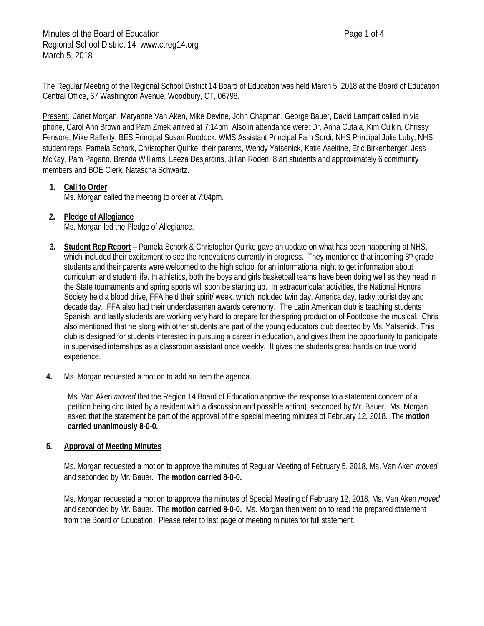The Regular Meeting of the Regional School District 14 Board of Education was held March 5, 2018 at the Board of Education Central Office, 67 Washington Avenue, Woodbury, CT, 06798.

Present: Janet Morgan, Maryanne Van Aken, Mike Devine, John Chapman, George Bauer, David Lampart called in via phone, Carol Ann Brown and Pam Zmek arrived at 7:14pm. Also in attendance were: Dr. Anna Cutaia, Kim Culkin, Chrissy Fensore, Mike Rafferty, BES Principal Susan Ruddock, WMS Assistant Principal Pam Sordi, NHS Principal Julie Luby, NHS student reps, Pamela Schork, Christopher Quirke, their parents, Wendy Yatsenick, Katie Aseltine, Eric Birkenberger, Jess McKay, Pam Pagano, Brenda Williams, Leeza Desjardins, Jillian Roden, 8 art students and approximately 6 community members and BOE Clerk, Natascha Schwartz.

## **1. Call to Order**

Ms. Morgan called the meeting to order at 7:04pm.

#### **2. Pledge of Allegiance**

Ms. Morgan led the Pledge of Allegiance.

- **3. Student Rep Report** Pamela Schork & Christopher Quirke gave an update on what has been happening at NHS, which included their excitement to see the renovations currently in progress. They mentioned that incoming  $8<sup>th</sup>$  grade students and their parents were welcomed to the high school for an informational night to get information about curriculum and student life. In athletics, both the boys and girls basketball teams have been doing well as they head in the State tournaments and spring sports will soon be starting up. In extracurricular activities, the National Honors Society held a blood drive, FFA held their spirit/ week, which included twin day, America day, tacky tourist day and decade day. FFA also had their underclassmen awards ceremony. The Latin American club is teaching students Spanish, and lastly students are working very hard to prepare for the spring production of Footloose the musical. Chris also mentioned that he along with other students are part of the young educators club directed by Ms. Yatsenick. This club is designed for students interested in pursuing a career in education, and gives them the opportunity to participate in supervised internships as a classroom assistant once weekly. It gives the students great hands on true world experience.
- **4.** Ms. Morgan requested a motion to add an item the agenda.

Ms. Van Aken *moved* that the Region 14 Board of Education approve the response to a statement concern of a petition being circulated by a resident with a discussion and possible action), seconded by Mr. Bauer. Ms. Morgan asked that the statement be part of the approval of the special meeting minutes of February 12, 2018. The **motion carried unanimously 8-0-0.**

#### **5. Approval of Meeting Minutes**

Ms. Morgan requested a motion to approve the minutes of Regular Meeting of February 5, 2018, Ms. Van Aken *moved* and seconded by Mr. Bauer. The **motion carried 8-0-0.**

Ms. Morgan requested a motion to approve the minutes of Special Meeting of February 12, 2018, Ms. Van Aken *moved* and seconded by Mr. Bauer. The **motion carried 8-0-0.** Ms. Morgan then went on to read the prepared statement from the Board of Education. Please refer to last page of meeting minutes for full statement.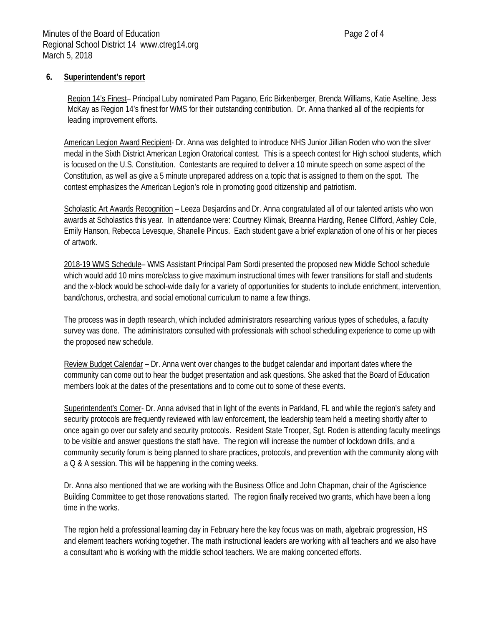## **6. Superintendent's report**

Region 14's Finest– Principal Luby nominated Pam Pagano, Eric Birkenberger, Brenda Williams, Katie Aseltine, Jess McKay as Region 14's finest for WMS for their outstanding contribution. Dr. Anna thanked all of the recipients for leading improvement efforts.

American Legion Award Recipient- Dr. Anna was delighted to introduce NHS Junior Jillian Roden who won the silver medal in the Sixth District American Legion Oratorical contest. This is a speech contest for High school students, which is focused on the U.S. Constitution. Contestants are required to deliver a 10 minute speech on some aspect of the Constitution, as well as give a 5 minute unprepared address on a topic that is assigned to them on the spot. The contest emphasizes the American Legion's role in promoting good citizenship and patriotism.

Scholastic Art Awards Recognition – Leeza Desjardins and Dr. Anna congratulated all of our talented artists who won awards at Scholastics this year. In attendance were: Courtney Klimak, Breanna Harding, Renee Clifford, Ashley Cole, Emily Hanson, Rebecca Levesque, Shanelle Pincus. Each student gave a brief explanation of one of his or her pieces of artwork.

2018-19 WMS Schedule– WMS Assistant Principal Pam Sordi presented the proposed new Middle School schedule which would add 10 mins more/class to give maximum instructional times with fewer transitions for staff and students and the x-block would be school-wide daily for a variety of opportunities for students to include enrichment, intervention, band/chorus, orchestra, and social emotional curriculum to name a few things.

The process was in depth research, which included administrators researching various types of schedules, a faculty survey was done. The administrators consulted with professionals with school scheduling experience to come up with the proposed new schedule.

Review Budget Calendar – Dr. Anna went over changes to the budget calendar and important dates where the community can come out to hear the budget presentation and ask questions. She asked that the Board of Education members look at the dates of the presentations and to come out to some of these events.

Superintendent's Corner- Dr. Anna advised that in light of the events in Parkland, FL and while the region's safety and security protocols are frequently reviewed with law enforcement, the leadership team held a meeting shortly after to once again go over our safety and security protocols. Resident State Trooper, Sgt. Roden is attending faculty meetings to be visible and answer questions the staff have. The region will increase the number of lockdown drills, and a community security forum is being planned to share practices, protocols, and prevention with the community along with a Q & A session. This will be happening in the coming weeks.

Dr. Anna also mentioned that we are working with the Business Office and John Chapman, chair of the Agriscience Building Committee to get those renovations started. The region finally received two grants, which have been a long time in the works.

The region held a professional learning day in February here the key focus was on math, algebraic progression, HS and element teachers working together. The math instructional leaders are working with all teachers and we also have a consultant who is working with the middle school teachers. We are making concerted efforts.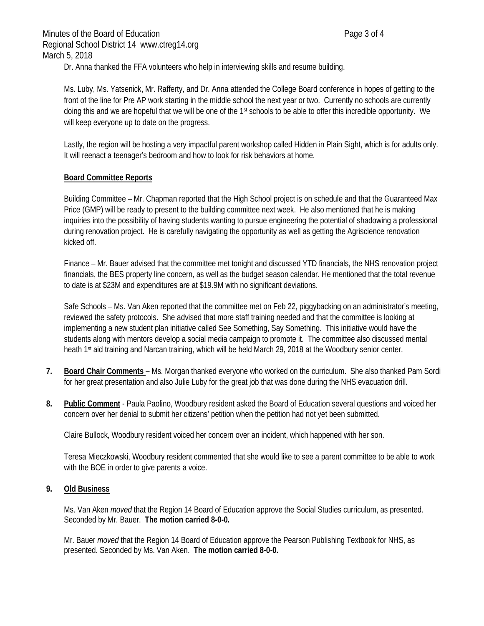Dr. Anna thanked the FFA volunteers who help in interviewing skills and resume building.

Ms. Luby, Ms. Yatsenick, Mr. Rafferty, and Dr. Anna attended the College Board conference in hopes of getting to the front of the line for Pre AP work starting in the middle school the next year or two. Currently no schools are currently doing this and we are hopeful that we will be one of the 1<sup>st</sup> schools to be able to offer this incredible opportunity. We will keep everyone up to date on the progress.

Lastly, the region will be hosting a very impactful parent workshop called Hidden in Plain Sight, which is for adults only. It will reenact a teenager's bedroom and how to look for risk behaviors at home.

## **Board Committee Reports**

Building Committee – Mr. Chapman reported that the High School project is on schedule and that the Guaranteed Max Price (GMP) will be ready to present to the building committee next week. He also mentioned that he is making inquiries into the possibility of having students wanting to pursue engineering the potential of shadowing a professional during renovation project. He is carefully navigating the opportunity as well as getting the Agriscience renovation kicked off.

Finance – Mr. Bauer advised that the committee met tonight and discussed YTD financials, the NHS renovation project financials, the BES property line concern, as well as the budget season calendar. He mentioned that the total revenue to date is at \$23M and expenditures are at \$19.9M with no significant deviations.

Safe Schools – Ms. Van Aken reported that the committee met on Feb 22, piggybacking on an administrator's meeting, reviewed the safety protocols. She advised that more staff training needed and that the committee is looking at implementing a new student plan initiative called See Something, Say Something. This initiative would have the students along with mentors develop a social media campaign to promote it. The committee also discussed mental heath 1st aid training and Narcan training, which will be held March 29, 2018 at the Woodbury senior center.

- **7. Board Chair Comments**  Ms. Morgan thanked everyone who worked on the curriculum. She also thanked Pam Sordi for her great presentation and also Julie Luby for the great job that was done during the NHS evacuation drill.
- **8. Public Comment** Paula Paolino, Woodbury resident asked the Board of Education several questions and voiced her concern over her denial to submit her citizens' petition when the petition had not yet been submitted.

Claire Bullock, Woodbury resident voiced her concern over an incident, which happened with her son.

Teresa Mieczkowski, Woodbury resident commented that she would like to see a parent committee to be able to work with the BOE in order to give parents a voice.

## **9. Old Business**

Ms. Van Aken *moved* that the Region 14 Board of Education approve the Social Studies curriculum, as presented. Seconded by Mr. Bauer. **The motion carried 8-0-0.**

Mr. Bauer *moved* that the Region 14 Board of Education approve the Pearson Publishing Textbook for NHS, as presented. Seconded by Ms. Van Aken. **The motion carried 8-0-0.**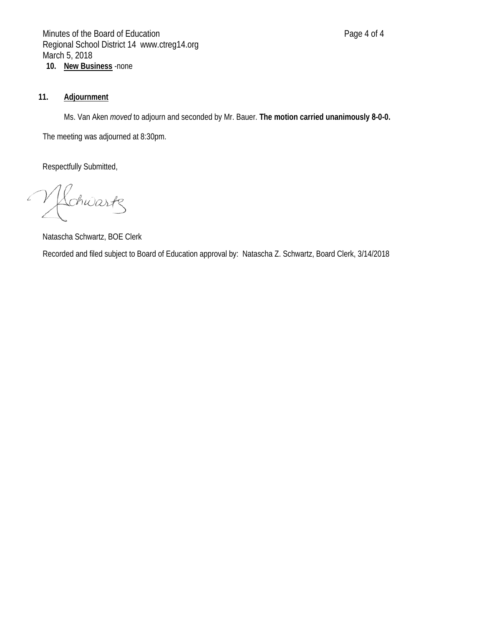# **11. Adjournment**

Ms. Van Aken *moved* to adjourn and seconded by Mr. Bauer. **The motion carried unanimously** 8**-0-0.**

The meeting was adjourned at 8:30pm.

Respectfully Submitted,

 $\curvearrowleft$ Lchwartz

Natascha Schwartz, BOE Clerk

Recorded and filed subject to Board of Education approval by: Natascha Z. Schwartz, Board Clerk, 3/14/2018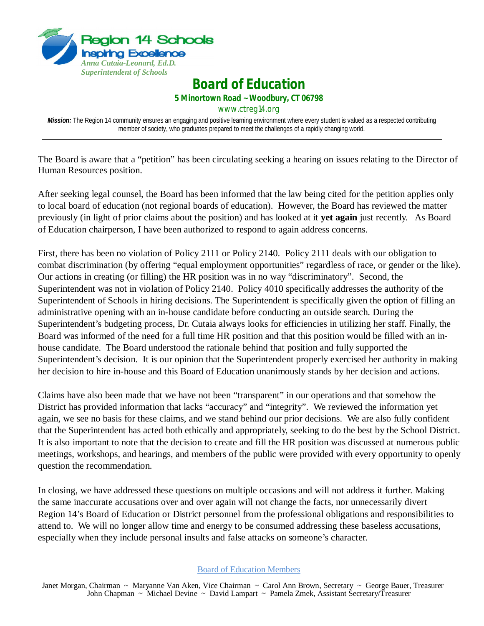

*Board of Education*

**5 Minortown Road ~ Woodbury, CT 06798** 

www.ctreg14.org

*Mission:* The Region 14 community ensures an engaging and positive learning environment where every student is valued as a respected contributing member of society, who graduates prepared to meet the challenges of a rapidly changing world.

The Board is aware that a "petition" has been circulating seeking a hearing on issues relating to the Director of Human Resources position.

After seeking legal counsel, the Board has been informed that the law being cited for the petition applies only to local board of education (not regional boards of education). However, the Board has reviewed the matter previously (in light of prior claims about the position) and has looked at it **yet again** just recently. As Board of Education chairperson, I have been authorized to respond to again address concerns.

First, there has been no violation of Policy 2111 or Policy 2140. Policy 2111 deals with our obligation to combat discrimination (by offering "equal employment opportunities" regardless of race, or gender or the like). Our actions in creating (or filling) the HR position was in no way "discriminatory". Second, the Superintendent was not in violation of Policy 2140. Policy 4010 specifically addresses the authority of the Superintendent of Schools in hiring decisions. The Superintendent is specifically given the option of filling an administrative opening with an in-house candidate before conducting an outside search. During the Superintendent's budgeting process, Dr. Cutaia always looks for efficiencies in utilizing her staff. Finally, the Board was informed of the need for a full time HR position and that this position would be filled with an inhouse candidate. The Board understood the rationale behind that position and fully supported the Superintendent's decision. It is our opinion that the Superintendent properly exercised her authority in making her decision to hire in-house and this Board of Education unanimously stands by her decision and actions.

Claims have also been made that we have not been "transparent" in our operations and that somehow the District has provided information that lacks "accuracy" and "integrity". We reviewed the information yet again, we see no basis for these claims, and we stand behind our prior decisions. We are also fully confident that the Superintendent has acted both ethically and appropriately, seeking to do the best by the School District. It is also important to note that the decision to create and fill the HR position was discussed at numerous public meetings, workshops, and hearings, and members of the public were provided with every opportunity to openly question the recommendation.

In closing, we have addressed these questions on multiple occasions and will not address it further. Making the same inaccurate accusations over and over again will not change the facts, nor unnecessarily divert Region 14's Board of Education or District personnel from the professional obligations and responsibilities to attend to. We will no longer allow time and energy to be consumed addressing these baseless accusations, especially when they include personal insults and false attacks on someone's character.

#### Board of Education Members